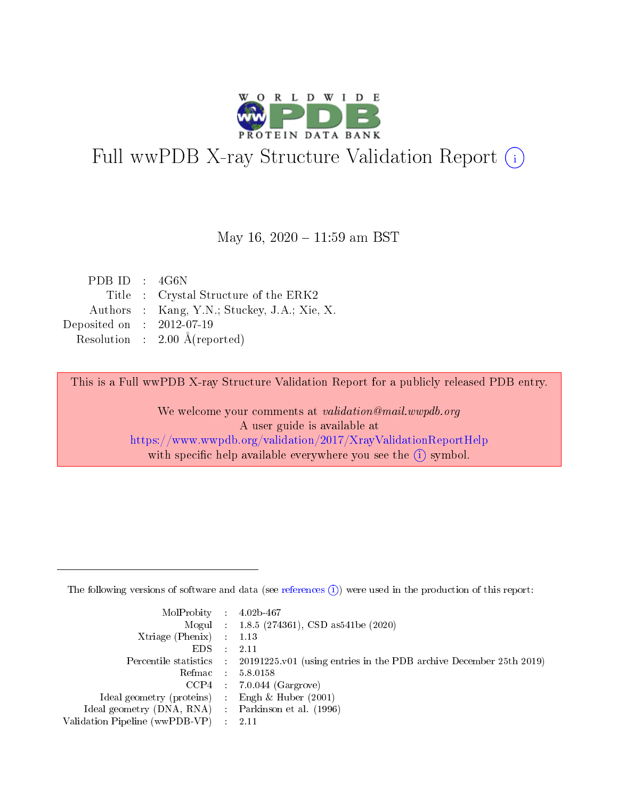

# Full wwPDB X-ray Structure Validation Report (i)

#### May 16,  $2020 - 11:59$  am BST

| PDB ID : $4G6N$             |                                              |
|-----------------------------|----------------------------------------------|
|                             | Title: Crystal Structure of the ERK2         |
|                             | Authors : Kang, Y.N.; Stuckey, J.A.; Xie, X. |
| Deposited on : $2012-07-19$ |                                              |
|                             | Resolution : $2.00 \text{ Å}$ (reported)     |

This is a Full wwPDB X-ray Structure Validation Report for a publicly released PDB entry.

We welcome your comments at validation@mail.wwpdb.org A user guide is available at <https://www.wwpdb.org/validation/2017/XrayValidationReportHelp> with specific help available everywhere you see the  $(i)$  symbol.

The following versions of software and data (see [references](https://www.wwpdb.org/validation/2017/XrayValidationReportHelp#references)  $(1)$ ) were used in the production of this report:

| $MolProbability$ : 4.02b-467                        |                                                                                            |
|-----------------------------------------------------|--------------------------------------------------------------------------------------------|
|                                                     | Mogul : $1.8.5$ (274361), CSD as 541be (2020)                                              |
| Xtriage (Phenix) $: 1.13$                           |                                                                                            |
| $EDS$ :                                             | -2.11                                                                                      |
|                                                     | Percentile statistics : 20191225.v01 (using entries in the PDB archive December 25th 2019) |
| Refmac : 5.8.0158                                   |                                                                                            |
| CCP4                                                | $7.0.044$ (Gargrove)                                                                       |
| Ideal geometry (proteins) :                         | Engh $\&$ Huber (2001)                                                                     |
| Ideal geometry (DNA, RNA) : Parkinson et al. (1996) |                                                                                            |
| Validation Pipeline (wwPDB-VP) : 2.11               |                                                                                            |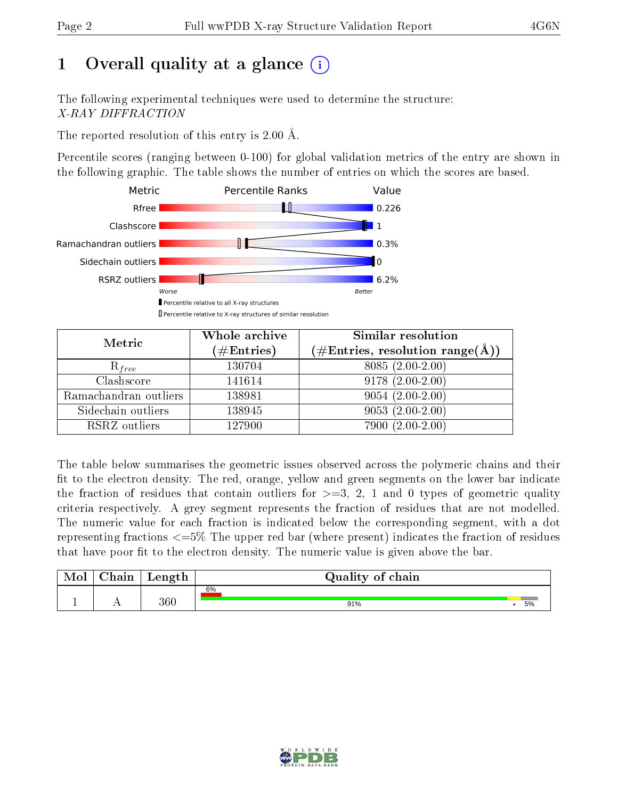# 1 [O](https://www.wwpdb.org/validation/2017/XrayValidationReportHelp#overall_quality)verall quality at a glance  $(i)$

The following experimental techniques were used to determine the structure: X-RAY DIFFRACTION

The reported resolution of this entry is 2.00 Å.

Percentile scores (ranging between 0-100) for global validation metrics of the entry are shown in the following graphic. The table shows the number of entries on which the scores are based.



| Metric                | Whole archive<br>$(\#\text{Entries})$ | Similar resolution<br>$(\#\text{Entries}, \text{resolution range}(\text{\AA}))$ |  |  |
|-----------------------|---------------------------------------|---------------------------------------------------------------------------------|--|--|
| $R_{free}$            | 130704                                | 8085 (2.00-2.00)                                                                |  |  |
| Clashscore            | 141614                                | $9178(2.00-2.00)$                                                               |  |  |
| Ramachandran outliers | 138981                                | $9054(2.00-2.00)$                                                               |  |  |
| Sidechain outliers    | 138945                                | $9053(2.00-2.00)$                                                               |  |  |
| RSRZ outliers         | 127900                                | $7900(2.00-2.00)$                                                               |  |  |

The table below summarises the geometric issues observed across the polymeric chains and their fit to the electron density. The red, orange, yellow and green segments on the lower bar indicate the fraction of residues that contain outliers for  $>=3, 2, 1$  and 0 types of geometric quality criteria respectively. A grey segment represents the fraction of residues that are not modelled. The numeric value for each fraction is indicated below the corresponding segment, with a dot representing fractions <=5% The upper red bar (where present) indicates the fraction of residues that have poor fit to the electron density. The numeric value is given above the bar.

| Mol | $\cap$ hain | Length  | Quality of chain |    |
|-----|-------------|---------|------------------|----|
|     |             |         | 6%               |    |
|     |             | $360\,$ | 91%              | 5% |

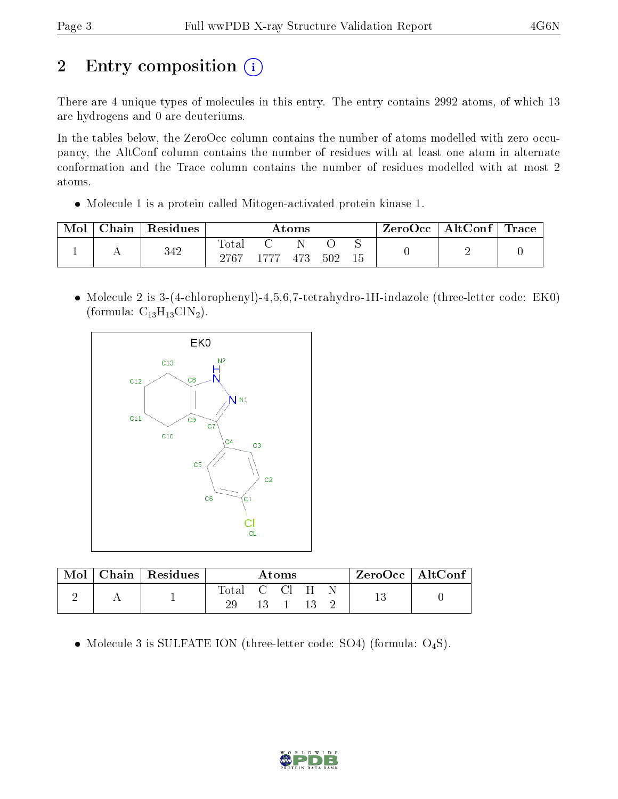# 2 Entry composition (i)

There are 4 unique types of molecules in this entry. The entry contains 2992 atoms, of which 13 are hydrogens and 0 are deuteriums.

In the tables below, the ZeroOcc column contains the number of atoms modelled with zero occupancy, the AltConf column contains the number of residues with at least one atom in alternate conformation and the Trace column contains the number of residues modelled with at most 2 atoms.

Molecule 1 is a protein called Mitogen-activated protein kinase 1.

| Mol | ${\rm Chain}$ | Residues | Atoms                |      |     |     |     | $\mid$ ZeroOcc $\mid$ AltConf $\mid$ Trace |  |
|-----|---------------|----------|----------------------|------|-----|-----|-----|--------------------------------------------|--|
|     |               | 342      | $\rm{Total}$<br>2767 | 1777 | 473 | 502 | -15 |                                            |  |

 Molecule 2 is 3-(4-chlorophenyl)-4,5,6,7-tetrahydro-1H-indazole (three-letter code: EK0) (formula:  $C_{13}H_{13}CIN_2$ ).



| $\operatorname{Mol}$ | Chain   Residues | Atoms       |  |  | $\rm ZeroOcc$   Alt $\rm Conf$ |  |  |  |
|----------------------|------------------|-------------|--|--|--------------------------------|--|--|--|
|                      |                  | Total<br>29 |  |  | H                              |  |  |  |

• Molecule 3 is SULFATE ION (three-letter code: SO4) (formula:  $O_4S$ ).

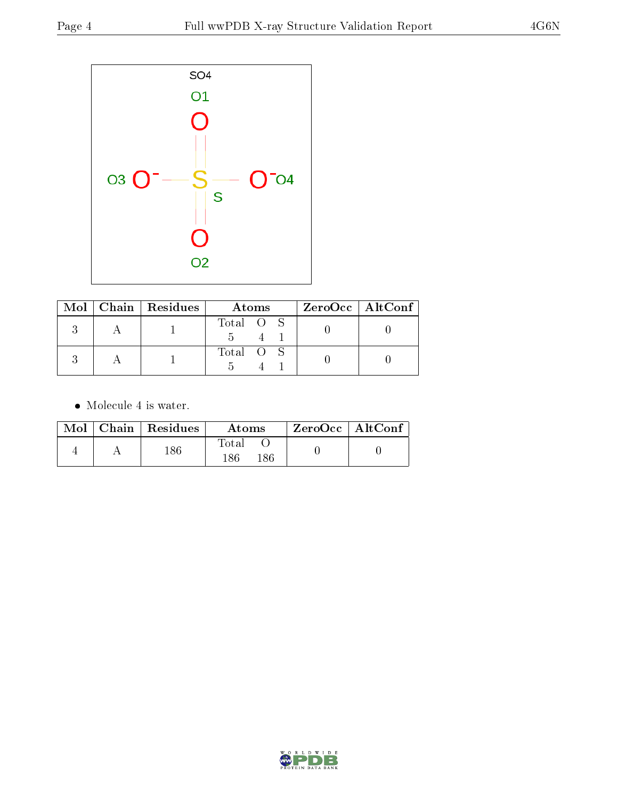

|  | $Mol$   Chain   Residues | Atoms     | $ZeroOcc \mid AltConf \mid$ |
|--|--------------------------|-----------|-----------------------------|
|  |                          | Total O S |                             |
|  |                          | Total O S |                             |

• Molecule 4 is water.

|  | $Mol$   Chain   Residues | Atoms               | $ZeroOcc \mid AltConf$ |  |
|--|--------------------------|---------------------|------------------------|--|
|  | $186\,$                  | Total<br>186<br>186 |                        |  |

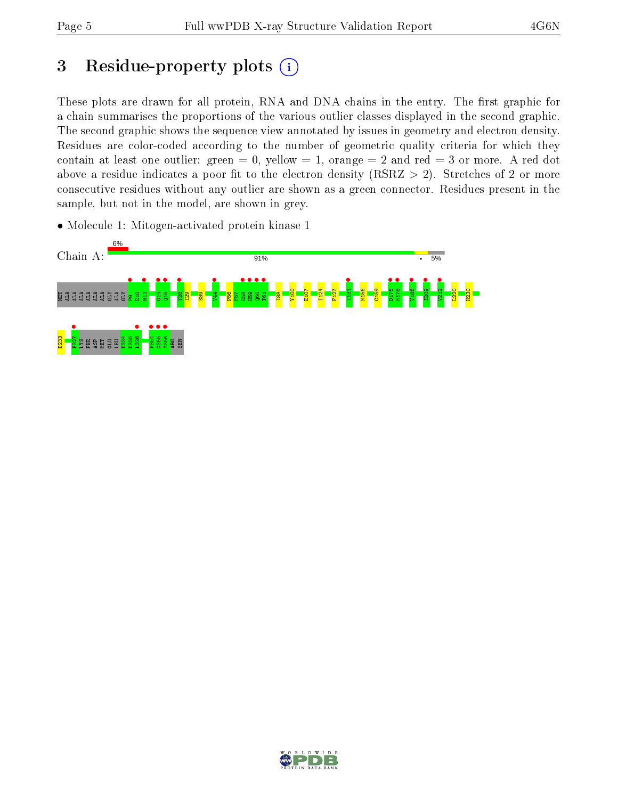# 3 Residue-property plots  $(i)$

These plots are drawn for all protein, RNA and DNA chains in the entry. The first graphic for a chain summarises the proportions of the various outlier classes displayed in the second graphic. The second graphic shows the sequence view annotated by issues in geometry and electron density. Residues are color-coded according to the number of geometric quality criteria for which they contain at least one outlier: green  $= 0$ , yellow  $= 1$ , orange  $= 2$  and red  $= 3$  or more. A red dot above a residue indicates a poor fit to the electron density (RSRZ  $> 2$ ). Stretches of 2 or more consecutive residues without any outlier are shown as a green connector. Residues present in the sample, but not in the model, are shown in grey.

• Molecule 1: Mitogen-activated protein kinase 1



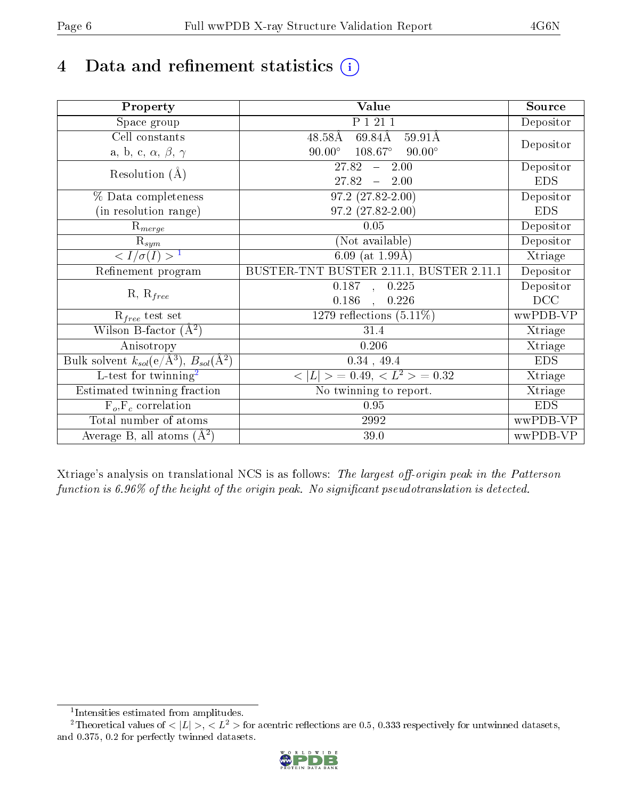# 4 Data and refinement statistics  $(i)$

| Property                                                             | Value                                            | Source     |
|----------------------------------------------------------------------|--------------------------------------------------|------------|
| Space group                                                          | P 1 21 1                                         | Depositor  |
| Cell constants                                                       | 69.84Å<br>48.58Å<br>$59.91\text{\AA}$            |            |
| a, b, c, $\alpha$ , $\beta$ , $\gamma$                               | $108.67^\circ$<br>$90.00^\circ$<br>$90.00^\circ$ | Depositor  |
| Resolution $(A)$                                                     | $\overline{27.82}$<br>$-2.00$                    | Depositor  |
|                                                                      | $27.82 - 2.00$                                   | <b>EDS</b> |
| % Data completeness                                                  | $\overline{97.2 (27.82\text{-}2.00)}$            | Depositor  |
| (in resolution range)                                                | $97.2(27.82 - 2.00)$                             | <b>EDS</b> |
| $R_{merge}$                                                          | 0.05                                             | Depositor  |
| $R_{sym}$                                                            | (Not available)                                  | Depositor  |
| $\sqrt{I/\sigma}(I) > 1$                                             | 6.09 (at $1.99\text{\AA}$ )                      | Xtriage    |
| Refinement program                                                   | BUSTER-TNT BUSTER 2.11.1, BUSTER 2.11.1          | Depositor  |
| $R, R_{free}$                                                        | $\overline{0.187}$ ,<br>0.225                    | Depositor  |
|                                                                      | 0.186<br>0.226<br>$\ddot{\phantom{a}}$           | DCC        |
| $R_{free}$ test set                                                  | 1279 reflections $(5.11\%)$                      | wwPDB-VP   |
| Wilson B-factor $(A^2)$                                              | 31.4                                             | Xtriage    |
| Anisotropy                                                           | 0.206                                            | Xtriage    |
| Bulk solvent $k_{sol}(e/\mathring{A}^3)$ , $B_{sol}(\mathring{A}^2)$ | $0.34$ , 49.4                                    | <b>EDS</b> |
| L-test for twinning <sup>2</sup>                                     | $< L >$ = 0.49, $< L2$ = 0.32                    | Xtriage    |
| Estimated twinning fraction                                          | No twinning to report.                           | Xtriage    |
| $F_o, F_c$ correlation                                               | 0.95                                             | <b>EDS</b> |
| Total number of atoms                                                | 2992                                             | wwPDB-VP   |
| Average B, all atoms $(A^2)$                                         | 39.0                                             | wwPDB-VP   |

Xtriage's analysis on translational NCS is as follows: The largest off-origin peak in the Patterson function is  $6.96\%$  of the height of the origin peak. No significant pseudotranslation is detected.

<sup>&</sup>lt;sup>2</sup>Theoretical values of  $\langle |L| \rangle$ ,  $\langle L^2 \rangle$  for acentric reflections are 0.5, 0.333 respectively for untwinned datasets, and 0.375, 0.2 for perfectly twinned datasets.



<span id="page-5-1"></span><span id="page-5-0"></span><sup>1</sup> Intensities estimated from amplitudes.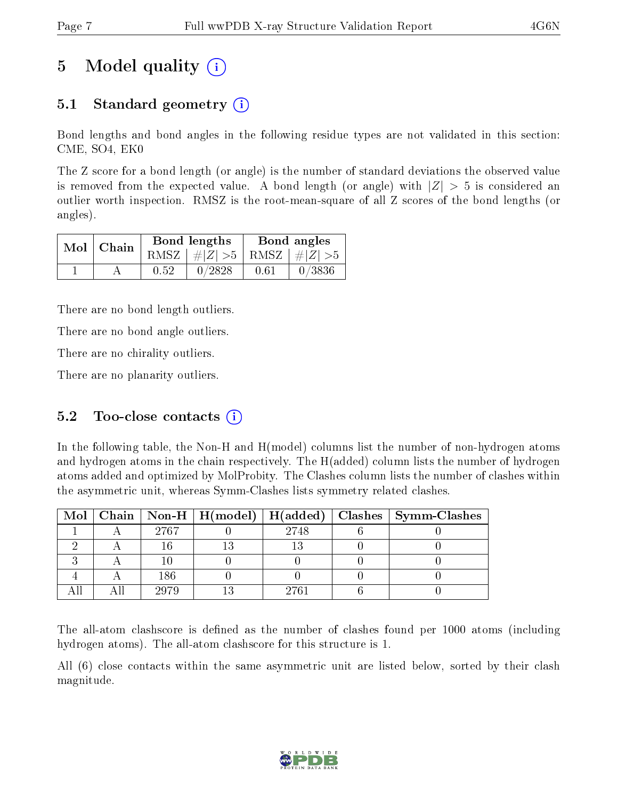# 5 Model quality  $(i)$

### 5.1 Standard geometry (i)

Bond lengths and bond angles in the following residue types are not validated in this section: CME, SO4, EK0

The Z score for a bond length (or angle) is the number of standard deviations the observed value is removed from the expected value. A bond length (or angle) with  $|Z| > 5$  is considered an outlier worth inspection. RMSZ is the root-mean-square of all Z scores of the bond lengths (or angles).

| $Mol$ Chain |  |      | Bond lengths                    | Bond angles |        |  |
|-------------|--|------|---------------------------------|-------------|--------|--|
|             |  |      | RMSZ $ #Z  > 5$ RMSZ $ #Z  > 5$ |             |        |  |
|             |  | 0.52 | 0/2828                          | 0.61        | 0/3836 |  |

There are no bond length outliers.

There are no bond angle outliers.

There are no chirality outliers.

There are no planarity outliers.

#### 5.2 Too-close contacts  $(i)$

In the following table, the Non-H and H(model) columns list the number of non-hydrogen atoms and hydrogen atoms in the chain respectively. The H(added) column lists the number of hydrogen atoms added and optimized by MolProbity. The Clashes column lists the number of clashes within the asymmetric unit, whereas Symm-Clashes lists symmetry related clashes.

|  |      |      | Mol   Chain   Non-H   H(model)   H(added)   Clashes   Symm-Clashes |
|--|------|------|--------------------------------------------------------------------|
|  | 2767 | 2748 |                                                                    |
|  |      |      |                                                                    |
|  |      |      |                                                                    |
|  | 186  |      |                                                                    |
|  | 2979 | 9761 |                                                                    |

The all-atom clashscore is defined as the number of clashes found per 1000 atoms (including hydrogen atoms). The all-atom clashscore for this structure is 1.

All (6) close contacts within the same asymmetric unit are listed below, sorted by their clash magnitude.

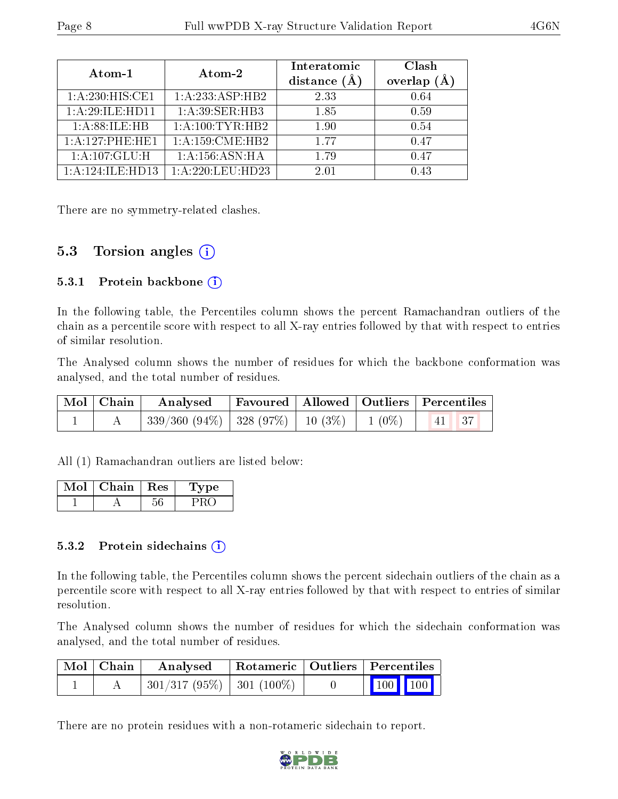| Atom-1              | Atom-2             | Interatomic<br>distance $(\AA)$ | Clash<br>overlap |
|---------------------|--------------------|---------------------------------|------------------|
| 1: A:230:HIS:CE1    | 1:A:233:ASP:HB2    | 2.33                            | 0.64             |
| 1:A:29:ILE:HD11     | 1: A:39: SER:HB3   | 1.85                            | 0.59             |
| 1: A:88: ILE: HB    | 1: A:100:TYR:HB2   | 1.90                            | 0.54             |
| 1: A: 127: PHE: HE1 | 1: A:159: CME: HB2 | 1 77                            | 0.47             |
| 1:A:107:GLU:H       | 1:A:156:ASN:HA     | 1.79                            | 0.47             |
| 1:A:124:ILE:HD13    | 1: A:220:LEU:HD23  | 2.01                            | በ 43             |

There are no symmetry-related clashes.

### 5.3 Torsion angles  $(i)$

#### 5.3.1 Protein backbone (i)

In the following table, the Percentiles column shows the percent Ramachandran outliers of the chain as a percentile score with respect to all X-ray entries followed by that with respect to entries of similar resolution.

The Analysed column shows the number of residues for which the backbone conformation was analysed, and the total number of residues.

| Mol   Chain | Analysed                                                           |  | Favoured   Allowed   Outliers   Percentiles |
|-------------|--------------------------------------------------------------------|--|---------------------------------------------|
|             | $339/360$ $(94\%)$   328 $(97\%)$   10 $(3\%)$   1 $(0\%)$   41 37 |  |                                             |

All (1) Ramachandran outliers are listed below:

| Mol | Chain | $\mathbf{Res}^+$ | vpe |  |
|-----|-------|------------------|-----|--|
|     |       |                  |     |  |

#### 5.3.2 Protein sidechains  $(i)$

In the following table, the Percentiles column shows the percent sidechain outliers of the chain as a percentile score with respect to all X-ray entries followed by that with respect to entries of similar resolution.

The Analysed column shows the number of residues for which the sidechain conformation was analysed, and the total number of residues.

| $\mid$ Mol $\mid$ Chain | Analysed                     |  | Rotameric   Outliers   Percentiles |  |
|-------------------------|------------------------------|--|------------------------------------|--|
|                         | $301/317(95\%)$   301 (100%) |  | $\vert$ 100 100 $\vert$            |  |

There are no protein residues with a non-rotameric sidechain to report.

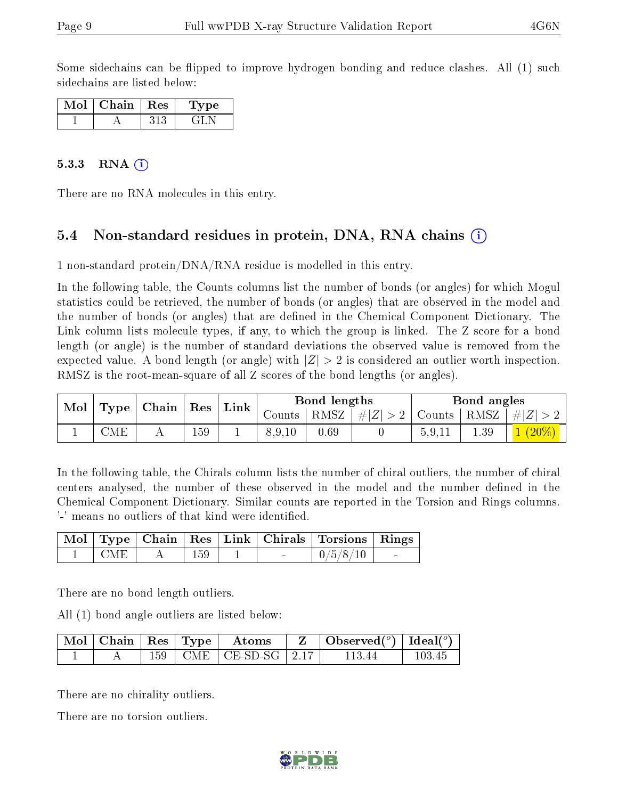Some sidechains can be flipped to improve hydrogen bonding and reduce clashes. All (1) such sidechains are listed below:

| Mol | Chain | $\pm$ Res $^+$ | Type |
|-----|-------|----------------|------|
|     |       | $313\,$        |      |

#### 5.3.3 RNA $(i)$

There are no RNA molecules in this entry.

#### 5.4 Non-standard residues in protein, DNA, RNA chains (i)

1 non-standard protein/DNA/RNA residue is modelled in this entry.

In the following table, the Counts columns list the number of bonds (or angles) for which Mogul statistics could be retrieved, the number of bonds (or angles) that are observed in the model and the number of bonds (or angles) that are defined in the Chemical Component Dictionary. The Link column lists molecule types, if any, to which the group is linked. The Z score for a bond length (or angle) is the number of standard deviations the observed value is removed from the expected value. A bond length (or angle) with  $|Z| > 2$  is considered an outlier worth inspection. RMSZ is the root-mean-square of all Z scores of the bond lengths (or angles).

| <b>Mol</b> | $\mid$ Type $\mid$ Chain $\mid$ Res |  |    |  |        |                       |             |               |      | $Link \,  $ |  | Bond lengths |  |  | Bond angles |  |
|------------|-------------------------------------|--|----|--|--------|-----------------------|-------------|---------------|------|-------------|--|--------------|--|--|-------------|--|
|            |                                     |  |    |  |        | Counts   RMSZ $\vert$ | # $ Z  > 2$ | Counts   RMSZ |      | $\# Z  > 2$ |  |              |  |  |             |  |
|            | <b>CME</b>                          |  | 59 |  | 8.9.10 | 0.69                  |             | 5.9.11        | 1.39 |             |  |              |  |  |             |  |

In the following table, the Chirals column lists the number of chiral outliers, the number of chiral centers analysed, the number of these observed in the model and the number defined in the Chemical Component Dictionary. Similar counts are reported in the Torsion and Rings columns. '-' means no outliers of that kind were identified.

|            |     |  | Mol   Type   Chain   Res   Link   Chirals   Torsions   Rings |                          |
|------------|-----|--|--------------------------------------------------------------|--------------------------|
| <b>CMF</b> | 159 |  | 0/5/8/10                                                     | <b>Contract Contract</b> |

There are no bond length outliers.

All (1) bond angle outliers are listed below:

|  |  | $\mid$ Mol $\mid$ Chain $\mid$ Res $\mid$ Type $\mid$ Atoms | $\parallel$ Z $\parallel$ Observed( <sup>o</sup> ) $\parallel$ Ideal( <sup>o</sup> ) $\parallel$ |         |
|--|--|-------------------------------------------------------------|--------------------------------------------------------------------------------------------------|---------|
|  |  | $159$   CME   CE-SD-SG   2.17                               | -11344                                                                                           | -103-45 |

There are no chirality outliers.

There are no torsion outliers.

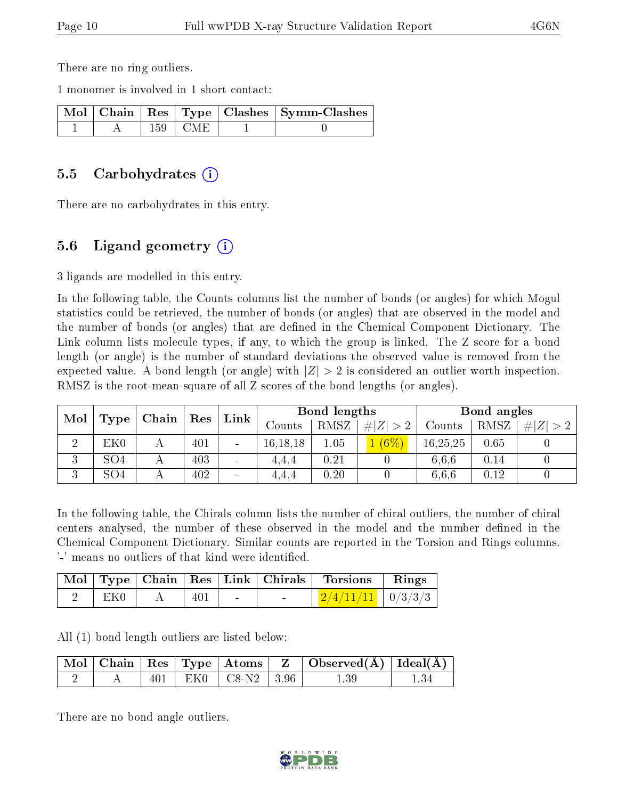There are no ring outliers.

1 monomer is involved in 1 short contact:

|  |                        | Mol   Chain   Res   Type   Clashes   Symm-Clashes |
|--|------------------------|---------------------------------------------------|
|  | $159 \perp \text{CME}$ |                                                   |

#### 5.5 Carbohydrates (i)

There are no carbohydrates in this entry.

### 5.6 Ligand geometry  $(i)$

3 ligands are modelled in this entry.

In the following table, the Counts columns list the number of bonds (or angles) for which Mogul statistics could be retrieved, the number of bonds (or angles) that are observed in the model and the number of bonds (or angles) that are defined in the Chemical Component Dictionary. The Link column lists molecule types, if any, to which the group is linked. The Z score for a bond length (or angle) is the number of standard deviations the observed value is removed from the expected value. A bond length (or angle) with  $|Z| > 2$  is considered an outlier worth inspection. RMSZ is the root-mean-square of all Z scores of the bond lengths (or angles).

| Mol      |                 | Chain | Res | Link            | Bond lengths |      |             | Bond angles |      |     |
|----------|-----------------|-------|-----|-----------------|--------------|------|-------------|-------------|------|-----|
|          | Type            |       |     |                 | Counts       | RMSZ | # $ Z  > 2$ | Counts      | RMSZ | # Z |
|          | EK <sub>0</sub> |       | 401 | $\qquad \qquad$ | 16, 18, 18   | 1.05 | $(6\%)$     | 16,25,25    | 0.65 |     |
| ച<br>- 1 | SO <sub>4</sub> |       | 403 | $\qquad \qquad$ | 4.4.4        | 0.21 |             | 6.6.6       | 0.14 |     |
| ച<br>- 1 | SO <sub>4</sub> |       | 402 | -               | 4.4.4        | 0.20 |             | 6.6.6       | 0.12 |     |

In the following table, the Chirals column lists the number of chiral outliers, the number of chiral centers analysed, the number of these observed in the model and the number defined in the Chemical Component Dictionary. Similar counts are reported in the Torsion and Rings columns. '-' means no outliers of that kind were identified.

|     |     |        |                          | Mol   Type   Chain   Res   Link   Chirals   Torsions   Rings |  |
|-----|-----|--------|--------------------------|--------------------------------------------------------------|--|
| EK0 | 401 | $\sim$ | <b>Contract Contract</b> | $\frac{2}{4/11/11}$   0/3/3/3                                |  |

All (1) bond length outliers are listed below:

|  |  |                            | $\mid$ Mol $\mid$ Chain $\mid$ Res $\mid$ Type $\mid$ Atoms $\mid$ Z $\mid$ Observed(A) $\mid$ Ideal(A) $\mid$ |  |
|--|--|----------------------------|----------------------------------------------------------------------------------------------------------------|--|
|  |  | $401$   EK0   C8-N2   3.96 | $1.39\,$                                                                                                       |  |

There are no bond angle outliers.

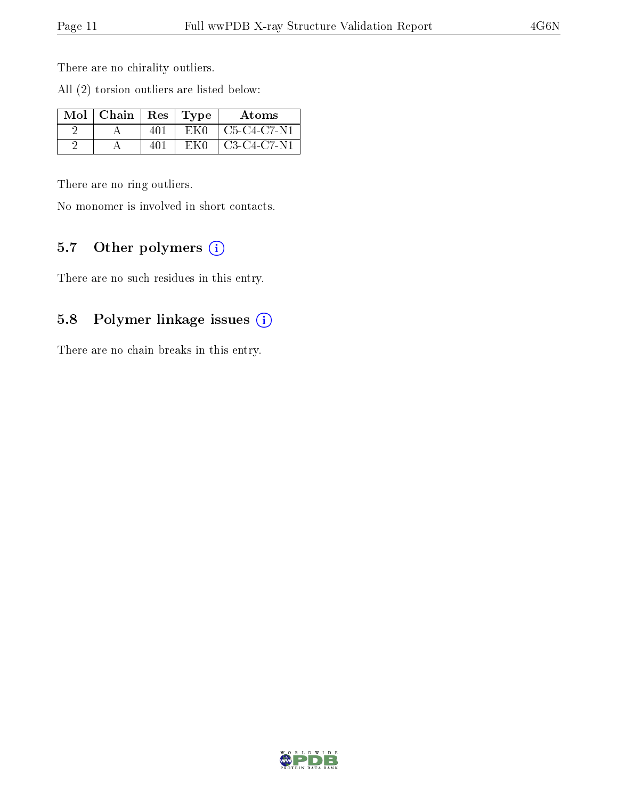There are no chirality outliers.

All (2) torsion outliers are listed below:

| $Mol$   Chain   Res   Type |     |     | Atoms         |
|----------------------------|-----|-----|---------------|
|                            | 401 | EK0 | C5-C4-C7-N1   |
|                            | 401 | EK0 | $C3-C4-C7-N1$ |

There are no ring outliers.

No monomer is involved in short contacts.

### 5.7 [O](https://www.wwpdb.org/validation/2017/XrayValidationReportHelp#nonstandard_residues_and_ligands)ther polymers (i)

There are no such residues in this entry.

### 5.8 Polymer linkage issues (i)

There are no chain breaks in this entry.

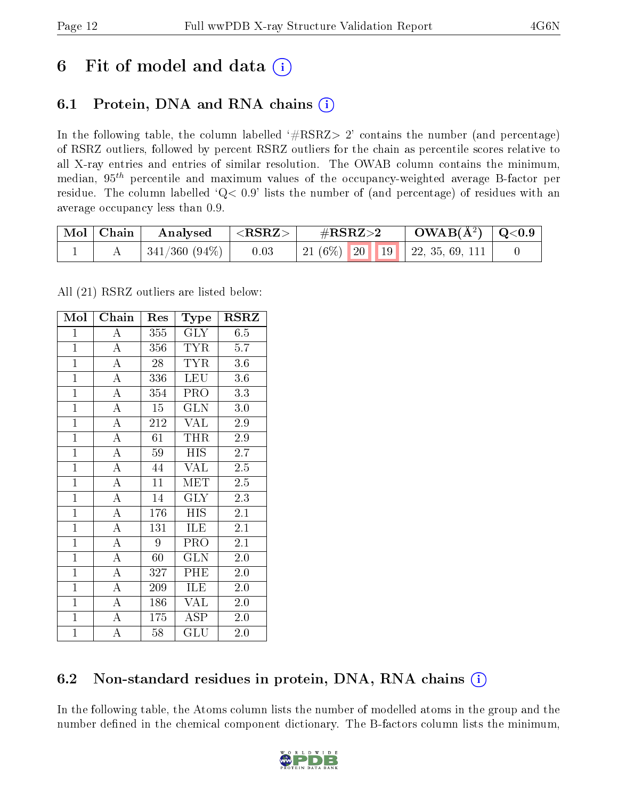## 6 Fit of model and data  $(i)$

### 6.1 Protein, DNA and RNA chains (i)

In the following table, the column labelled  $#RSRZ>2'$  contains the number (and percentage) of RSRZ outliers, followed by percent RSRZ outliers for the chain as percentile scores relative to all X-ray entries and entries of similar resolution. The OWAB column contains the minimum, median,  $95<sup>th</sup>$  percentile and maximum values of the occupancy-weighted average B-factor per residue. The column labelled ' $Q< 0.9$ ' lists the number of (and percentage) of residues with an average occupancy less than 0.9.

| $\mid$ Mol $\mid$ Chain | Analysed         | $^+$ <rsrz> .</rsrz> | $\#\text{RSRZ}\text{>2}$             | $\rm{OWAB}(\AA^2)$   Q<0.9 |  |
|-------------------------|------------------|----------------------|--------------------------------------|----------------------------|--|
|                         | $ 341/360(94\%)$ | 0.03                 | 21 (6\%)   20   19   22, 35, 69, 111 |                            |  |

All (21) RSRZ outliers are listed below:

| Mol            | Chain              | Res | Type                    | <b>RSRZ</b>      |
|----------------|--------------------|-----|-------------------------|------------------|
| $\mathbf{1}$   | $\boldsymbol{A}$   | 355 | <b>GLY</b>              | 6.5              |
| $\mathbf{1}$   | $\overline{A}$     | 356 | <b>TYR</b>              | 5.7              |
| $\overline{1}$ | $\overline{A}$     | 28  | <b>TYR</b>              | $\overline{3.6}$ |
| $\mathbf{1}$   | $\overline{A}$     | 336 | <b>LEU</b>              | $3.6\,$          |
| $\overline{1}$ | $\overline{\rm A}$ | 354 | <b>PRO</b>              | 3.3              |
| $\overline{1}$ | $\overline{\rm A}$ | 15  | GLN                     | $3.0\,$          |
| $\mathbf{1}$   | $\overline{\rm A}$ | 212 | VĀL                     | 2.9              |
| $\overline{1}$ | $\overline{A}$     | 61  | <b>THR</b>              | 2.9              |
| $\overline{1}$ | $\overline{\rm A}$ | 59  | <b>HIS</b>              | 2.7              |
| $\mathbf{1}$   | $\overline{A}$     | 44  | $\overline{\text{VAL}}$ | $\overline{2.5}$ |
| $\mathbf{1}$   | $\overline{A}$     | 11  | MET                     | 2.5              |
| $\mathbf{1}$   | $\overline{A}$     | 14  | <b>GLY</b>              | 2.3              |
| $\mathbf{1}$   | $\overline{A}$     | 176 | <b>HIS</b>              | 2.1              |
| $\mathbf{1}$   | $\overline{A}$     | 131 | ILE                     | 2.1              |
| $\mathbf{1}$   | $\overline{A}$     | 9   | PRO                     | $2.\overline{1}$ |
| $\overline{1}$ | $\overline{A}$     | 60  | GLN                     | $2.0\,$          |
| $\mathbf{1}$   | $\overline{A}$     | 327 | PHE                     | 2.0              |
| $\mathbf{1}$   | $\bf{A}$           | 209 | ILE                     | $2.0\,$          |
| $\overline{1}$ | $\overline{\rm A}$ | 186 | <b>VAL</b>              | 2.0              |
| $\mathbf{1}$   | $\overline{A}$     | 175 | <b>ASP</b>              | 2.0              |
| $\overline{1}$ | A                  | 58  | GLU                     | 2.0              |

### 6.2 Non-standard residues in protein, DNA, RNA chains (i)

In the following table, the Atoms column lists the number of modelled atoms in the group and the number defined in the chemical component dictionary. The B-factors column lists the minimum,